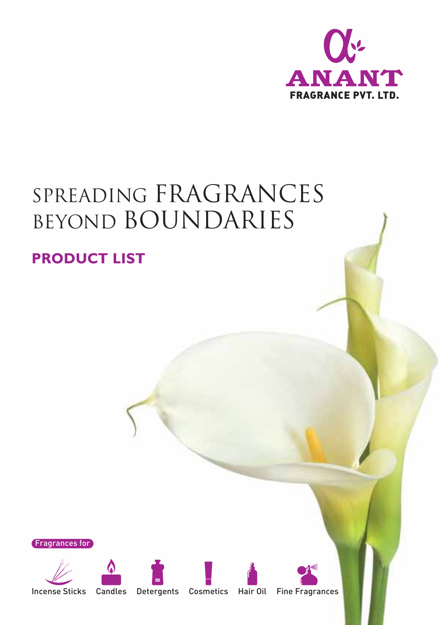

# SPREADING FRAGRANCES BEYOND BOUNDARIES

#### **PRODUCT LIST**













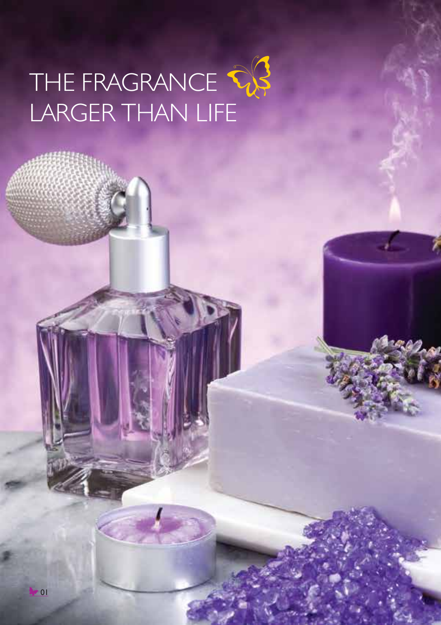# THE FRAGRANCE LARGER THAN LIFE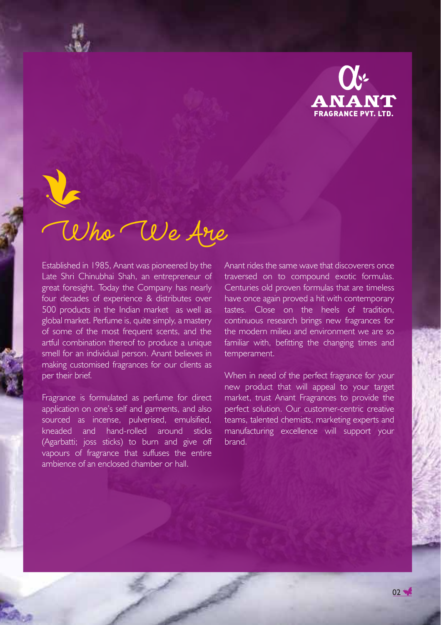

# Who We Are

Established in 1985, Anant was pioneered by the Late Shri Chinubhai Shah, an entrepreneur of great foresight. Today the Company has nearly four decades of experience & distributes over 500 products in the Indian market as well as global market. Perfume is, quite simply, a mastery of some of the most frequent scents, and the artful combination thereof to produce a unique smell for an individual person. Anant believes in making customised fragrances for our clients as per their brief.

Fragrance is formulated as perfume for direct application on one's self and garments, and also sourced as incense, pulverised, emulsified, kneaded and hand-rolled around sticks (Agarbatti; joss sticks) to burn and give off vapours of fragrance that suffuses the entire ambience of an enclosed chamber or hall.

Anant rides the same wave that discoverers once traversed on to compound exotic formulas. Centuries old proven formulas that are timeless have once again proved a hit with contemporary tastes. Close on the heels of tradition, continuous research brings new fragrances for the modern milieu and environment we are so familiar with, befitting the changing times and temperament.

When in need of the perfect fragrance for your new product that will appeal to your target market, trust Anant Fragrances to provide the perfect solution. Our customer-centric creative teams, talented chemists, marketing experts and manufacturing excellence will support your brand.

 $02$   $\rightarrow$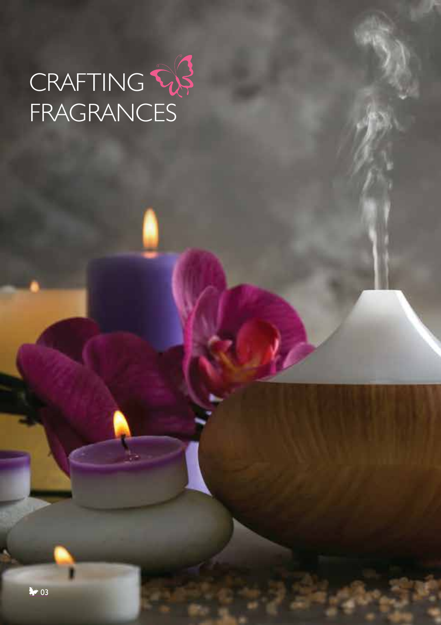# CRAFTING FRAGRANCES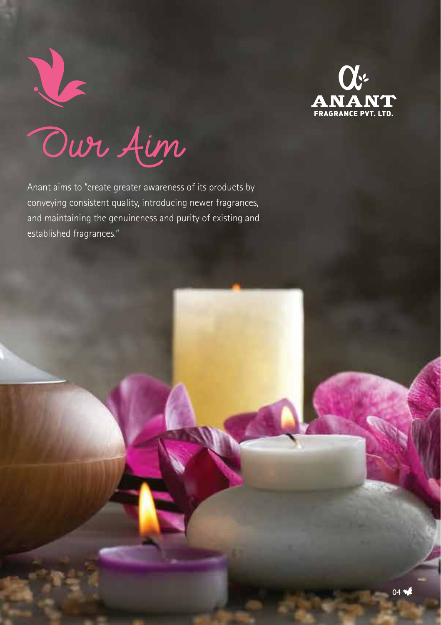

Our Aim

Anant aims to "create greater awareness of its products by conveying consistent quality, introducing newer fragrances, and maintaining the genuineness and purity of existing and established fragrances."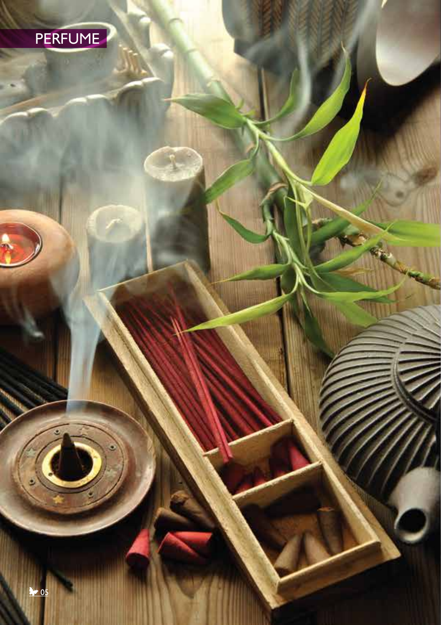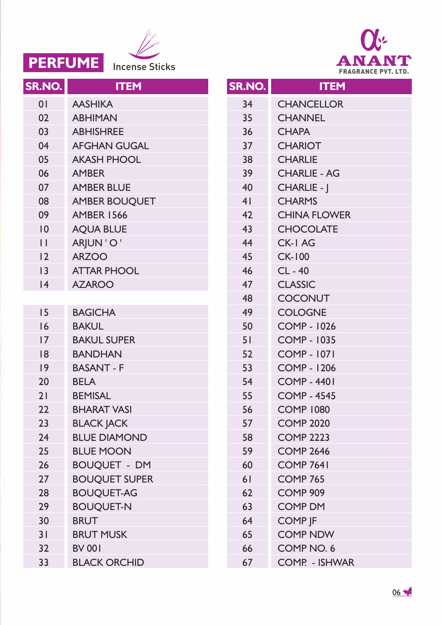



| SR.NO.         | <b>ITEM</b>          |
|----------------|----------------------|
| 0 <sub>1</sub> | <b>AASHIKA</b>       |
| 02             | <b>ABHIMAN</b>       |
| 03             | <b>ABHISHREE</b>     |
| 04             | <b>AFGHAN GUGAL</b>  |
| 05             | <b>AKASH PHOOL</b>   |
| 06             | <b>AMBER</b>         |
| 07             | <b>AMBER BLUE</b>    |
| 08             | <b>AMBER BOUOUET</b> |
| 09             | <b>AMBER 1566</b>    |
| 10             | <b>AOUA BLUE</b>     |
| П              | ARJUN'O'             |
| 12             | <b>ARZOO</b>         |
| 3              | <b>ATTAR PHOOL</b>   |
| 4              | <b>AZAROO</b>        |
|                |                      |
| 15             | <b>BAGICHA</b>       |
| 16             | <b>BAKUL</b>         |
| 17             | <b>BAKUL SUPER</b>   |
| 18             | <b>BANDHAN</b>       |
| 9              | <b>BASANT - F</b>    |
| 20             | <b>BELA</b>          |
| 21             | <b>BEMISAL</b>       |
| 22             | <b>BHARAT VASI</b>   |
| 2 <sub>3</sub> | <b>BLACK JACK</b>    |
| 24             | <b>BLUE DIAMOND</b>  |
| 25             | <b>BLUE MOON</b>     |
| 26             | <b>BOUQUET - DM</b>  |
| 27             | <b>BOUQUET SUPER</b> |
| 28             | <b>BOUQUET-AG</b>    |
| 29             | <b>BOUQUET-N</b>     |
| 30             | <b>BRUT</b>          |
| 31             | <b>BRUT MUSK</b>     |
| 32             | <b>BV 001</b>        |
| 33             | <b>BLACK ORCHID</b>  |

| SR.NO.         | <b>ITEM</b>           |
|----------------|-----------------------|
| 34             | <b>CHANCELLOR</b>     |
| 35             | <b>CHANNEL</b>        |
| 36             | <b>CHAPA</b>          |
| 37             | <b>CHARIOT</b>        |
| 38             | <b>CHARLIE</b>        |
| 39             | <b>CHARLIE - AG</b>   |
| 40             | CHARLIE - I           |
| 4 <sub>1</sub> | <b>CHARMS</b>         |
| 42             | <b>CHINA FLOWER</b>   |
| 43             | <b>CHOCOLATE</b>      |
| 44             | <b>CK-I AG</b>        |
| 45             | <b>CK-100</b>         |
| 46             | CL-40                 |
| 47             | <b>CLASSIC</b>        |
| 48             | <b>COCONUT</b>        |
| 49             | <b>COLOGNE</b>        |
| 50             | <b>COMP - 1026</b>    |
| 51             | <b>COMP - 1035</b>    |
| 52             | <b>COMP - 1071</b>    |
| 53             | COMP - 1206           |
| 54             | <b>COMP - 4401</b>    |
| 55             | <b>COMP - 4545</b>    |
| 56             | <b>COMP 1080</b>      |
| 57             | <b>COMP 2020</b>      |
| 58             | <b>COMP 2223</b>      |
| 59             | <b>COMP 2646</b>      |
| 60             | <b>COMP 7641</b>      |
| 61             | COMP 765              |
| 62             | COMP 909              |
| 63             | <b>COMP DM</b>        |
| 64             | <b>COMP IF</b>        |
| 65             | <b>COMP NDW</b>       |
| 66             | COMP NO. 6            |
| 67             | <b>COMP. - ISHWAR</b> |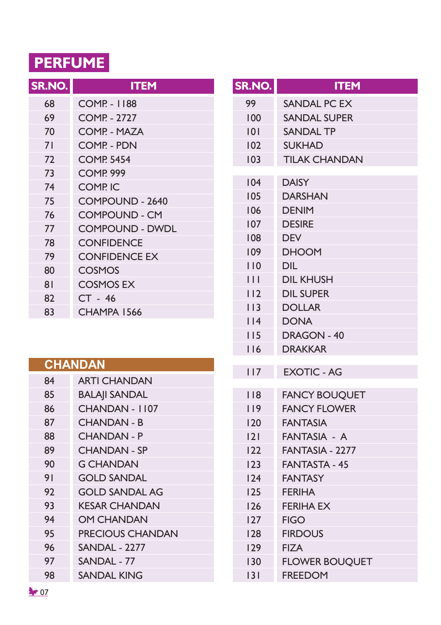## **PERFUME**

| SR.NO. | <b>ITEM</b>              |
|--------|--------------------------|
| 68     | <b>COMP - 1188</b>       |
| 69     | <b>COMP. - 2727</b>      |
| 70     | COMP - MAZA              |
| 71     | COMP - PDN               |
| 72     | <b>COMP. 5454</b>        |
| 73     | <b>COMP. 999</b>         |
| 74     | <b>COMP<sub>IC</sub></b> |
| 75     | COMPOUND - 2640          |
| 76     | <b>COMPOUND - CM</b>     |
| 77     | <b>COMPOUND - DWDL</b>   |
| 78     | <b>CONFIDENCE</b>        |
| 79     | <b>CONFIDENCE EX</b>     |
| 80     | COSMOS                   |
| 81     | <b>COSMOS EX</b>         |
| 82     | CT - 46                  |
| 83     | CHAMPA 1566              |

|    | <b>CHANDAN</b>          |
|----|-------------------------|
| 84 | <b>ARTI CHANDAN</b>     |
| 85 | <b>BALAJI SANDAL</b>    |
| 86 | CHANDAN - 1107          |
| 87 | <b>CHANDAN - B</b>      |
| 88 | <b>CHANDAN - P</b>      |
| 89 | <b>CHANDAN - SP</b>     |
| 90 | <b>G CHANDAN</b>        |
| 91 | <b>GOLD SANDAL</b>      |
| 92 | <b>GOLD SANDAL AG</b>   |
| 93 | <b>KESAR CHANDAN</b>    |
| 94 | <b>OM CHANDAN</b>       |
| 95 | <b>PRECIOUS CHANDAN</b> |
| 96 | <b>SANDAL - 2277</b>    |
| 97 | SANDAL - 77             |
| 98 | SANDAL KING             |
|    |                         |

| <b>SR.NO.</b> | <b>ITEM</b>           |
|---------------|-----------------------|
| 99            | SANDAL PC EX          |
| 100           | <b>SANDAL SUPER</b>   |
| 0             | <b>SANDAL TP</b>      |
| 102           | <b>SUKHAD</b>         |
| 103           | <b>TILAK CHANDAN</b>  |
| 104           | <b>DAISY</b>          |
| 105           | <b>DARSHAN</b>        |
| 106           | <b>DENIM</b>          |
| 107           | <b>DESIRE</b>         |
| 108           | <b>DEV</b>            |
| 109           | <b>DHOOM</b>          |
| 110           | <b>DIL</b>            |
| Ш             | <b>DIL KHUSH</b>      |
| 112           | <b>DIL SUPER</b>      |
| 113           | <b>DOLLAR</b>         |
| 114           | <b>DONA</b>           |
| 115           | DRAGON - 40           |
| 116           | <b>DRAKKAR</b>        |
| 117           | <b>EXOTIC - AG</b>    |
| 118           | <b>FANCY BOUQUET</b>  |
| 119           | <b>FANCY FLOWER</b>   |
| 120           | <b>FANTASIA</b>       |
| 2             | FANTASIA - A          |
| 122           | FANTASIA - 2277       |
| 123           | <b>FANTASTA - 45</b>  |
| 124           | <b>FANTASY</b>        |
| 125           | <b>FERIHA</b>         |
| 126           | <b>FERIHA EX</b>      |
| 127           | <b>FIGO</b>           |
| 128           | <b>FIRDOUS</b>        |
| 129           | <b>FIZA</b>           |
| 130           | <b>FLOWER BOUQUET</b> |
| 3             | <b>FREEDOM</b>        |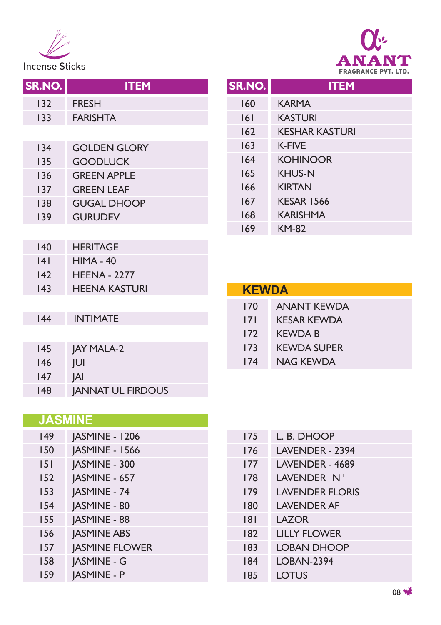

**FRAGRANCE PVT. LTD.** Incense Sticks

| SR.NO. | <b>ITEM</b>              |
|--------|--------------------------|
| 132    | <b>FRESH</b>             |
| 133    | <b>FARISHTA</b>          |
|        |                          |
| 134    | <b>GOLDEN GLORY</b>      |
| 135    | <b>GOODLUCK</b>          |
| 136    | <b>GREEN APPLE</b>       |
| 137    | <b>GREEN LEAF</b>        |
| 138    | <b>GUGAL DHOOP</b>       |
| 139    | <b>GURUDEV</b>           |
|        |                          |
| 140    | <b>HERITAGE</b>          |
| 4      | $HIMA - 40$              |
| 142    | <b>HFFNA - 2277</b>      |
| 143    | <b>HEENA KASTURI</b>     |
|        |                          |
| 144    | <b>INTIMATE</b>          |
|        |                          |
| 145    | <b>JAY MALA-2</b>        |
| 146    | JUI                      |
| 147    | <b>JAI</b>               |
| 148    | <b>JANNAT UL FIRDOUS</b> |

| SR.NO. | <b>ITEM</b>           |
|--------|-----------------------|
| 160    | <b>KARMA</b>          |
| 6      | <b>KASTURI</b>        |
| 162    | <b>KESHAR KASTURI</b> |
| 163    | <b>K-FIVE</b>         |
| 164    | <b>KOHINOOR</b>       |
| 165    | <b>KHUS-N</b>         |
| 166    | <b>KIRTAN</b>         |
| 167    | <b>KESAR 1566</b>     |
| 168    | <b>KARISHMA</b>       |
| 169    | <b>KM-82</b>          |

| <b>KEWDA</b> |                    |
|--------------|--------------------|
| 170          | <b>ANANT KEWDA</b> |
| 171          | <b>KESAR KEWDA</b> |
| 172          | <b>KEWDA B</b>     |
| 173          | <b>KEWDA SUPER</b> |
| 174          | NAG KFWDA          |

#### **JASMINE**

| 149 | <b>JASMINE - 1206</b> |
|-----|-----------------------|
| 150 | JASMINE - 1566        |
| 151 | JASMINE - 300         |
| 152 | JASMINE - 657         |
| 153 | JASMINE - 74          |
| 154 | <b>JASMINE - 80</b>   |
| 155 | JASMINE - 88          |
| 156 | <b>JASMINE ABS</b>    |
| 157 | <b>JASMINE FLOWER</b> |
| 158 | <b>JASMINE - G</b>    |
| 159 | <b>JASMINE - P</b>    |

| 175 | <b>I. B. DHOOP</b>     |
|-----|------------------------|
| 176 | <b>LAVENDER - 2394</b> |
| 177 | LAVENDER - 4689        |
| 178 | I AVENDER 'N '         |
| 179 | <b>LAVENDER FLORIS</b> |
| 180 | <b>LAVENDER AF</b>     |
| 181 | I AZOR                 |
| 182 | <b>LILLY FLOWER</b>    |
| 183 | <b>LOBAN DHOOP</b>     |
| 184 | <b>LOBAN-2394</b>      |
| 185 | LOTUS                  |
|     |                        |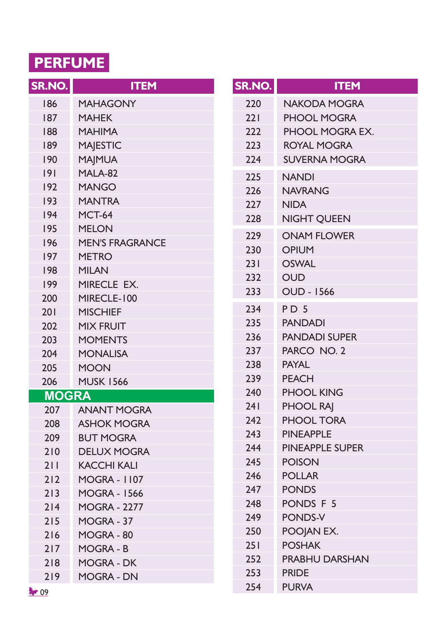### **PERFUME**

| SR.NO.       | <b>ITEM</b>            |
|--------------|------------------------|
| 186          | <b>MAHAGONY</b>        |
| 187          | <b>MAHEK</b>           |
| 188          | MAHIMA                 |
| 189          | <b>MAJESTIC</b>        |
| 190          | <b>MAJMUA</b>          |
| 9            | MALA-82                |
| 192          | <b>MANGO</b>           |
| 193          | <b>MANTRA</b>          |
| 194          | MCT-64                 |
| 195          | <b>MELON</b>           |
| 196          | <b>MEN'S FRAGRANCE</b> |
| 197          | <b>METRO</b>           |
| 198          | MILAN                  |
| 199          | <b>MIRECLE</b><br>EX.  |
| 200          | MIRECLE-100            |
| 201          | <b>MISCHIEF</b>        |
| 202          | <b>MIX FRUIT</b>       |
| 203          | <b>MOMENTS</b>         |
| 204          | <b>MONALISA</b>        |
| 205          | <b>MOON</b>            |
| 206          | <b>MUSK 1566</b>       |
| <b>MOGRA</b> |                        |
| 207          | ANANT MOGRA            |
| 208          | <b>ASHOK MOGRA</b>     |
| 209          | <b>BUT MOGRA</b>       |
| 210          | <b>DELUX MOGRA</b>     |
| 211          | KACCHI KALI            |
| 212          | <b>MOGRA - 1107</b>    |
| 213          | <b>MOGRA - 1566</b>    |
| 214          | MOGRA - 2277           |
| 215          | MOGRA - 37             |
| 216          | MOGRA-80               |
| 217          | MOGRA - B              |
| 218          | MOGRA - DK             |
| 219          | <b>MOGRA - DN</b>      |

| SR.NO. | <b>ITEM</b>            |
|--------|------------------------|
| 220    | <b>NAKODA MOGRA</b>    |
| 221    | <b>PHOOL MOGRA</b>     |
| 222    | PHOOL MOGRA EX.        |
| 223    | <b>ROYAL MOGRA</b>     |
| 224    | <b>SUVERNA MOGRA</b>   |
| 225    | <b>NANDI</b>           |
| 226    | <b>NAVRANG</b>         |
| 227    | <b>NIDA</b>            |
| 228    | <b>NIGHT QUEEN</b>     |
| 229    | <b>ONAM FLOWER</b>     |
| 230    | <b>OPIUM</b>           |
| 231    | <b>OSWAL</b>           |
| 232    | <b>OUD</b>             |
| 233    | <b>OUD - 1566</b>      |
| 234    | PD <sub>5</sub>        |
| 235    | <b>PANDADI</b>         |
| 236    | <b>PANDADI SUPER</b>   |
| 237    | PARCO NO. 2            |
| 238    | <b>PAYAL</b>           |
| 239    | <b>PEACH</b>           |
| 240    | <b>PHOOL KING</b>      |
| 241    | <b>PHOOL RAI</b>       |
| 242    | <b>PHOOL TORA</b>      |
| 243    | <b>PINEAPPLE</b>       |
| 244    | <b>PINEAPPLE SUPER</b> |
| 245    | <b>POISON</b>          |
| 246    | <b>POLLAR</b>          |
| 247    | <b>PONDS</b>           |
| 248    | PONDS F 5              |
| 249    | <b>PONDS-V</b>         |
| 250    | POOJAN EX.             |
| 251    | <b>POSHAK</b>          |
| 252    | <b>PRABHU DARSHAN</b>  |
| 253    | <b>PRIDE</b>           |
| 254    | <b>PURVA</b>           |

I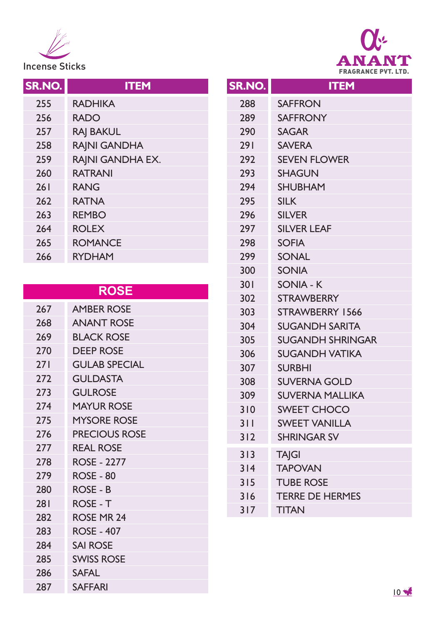



| SR.NO. | <b>ITEM</b>      |
|--------|------------------|
| 255    | <b>RADHIKA</b>   |
| 256    | <b>RADO</b>      |
| 257    | <b>RAJ BAKUL</b> |
| 258    | RAJNI GANDHA     |
| 259    | RAJNI GANDHA EX. |
| 260    | <b>RATRANI</b>   |
| 26 I   | <b>RANG</b>      |
| 262    | <b>RATNA</b>     |
| 263    | <b>REMBO</b>     |
| 264    | <b>ROLEX</b>     |
| 265    | <b>ROMANCE</b>   |
| 266    | <b>RYDHAM</b>    |
|        |                  |

#### **ROSE**

| 267 | <b>AMBER ROSE</b>    |
|-----|----------------------|
| 268 | <b>ANANT ROSE</b>    |
| 269 | <b>BLACK ROSE</b>    |
| 270 | DEEP ROSE            |
| 271 | <b>GULAB SPECIAL</b> |
| 272 | <b>GUI DASTA</b>     |
| 273 | <b>GULROSE</b>       |
| 274 | MAYUR ROSE           |
| 275 | <b>MYSORE ROSE</b>   |
| 276 | <b>PRECIOUS ROSE</b> |
| 277 | <b>REAL ROSE</b>     |
| 278 | <b>ROSE - 2277</b>   |
| 279 | <b>ROSE - 80</b>     |
| 280 | ROSE - B             |
| 281 | ROSE - T             |
| 282 | ROSE MR 24           |
| 283 | <b>ROSE - 407</b>    |
| 284 | <b>SAI ROSE</b>      |
| 285 | <b>SWISS ROSE</b>    |
| 286 | <b>SAFAL</b>         |
| 287 | SAFFARI              |
|     |                      |

| SR.NO. | <b>ITEM</b>             |
|--------|-------------------------|
| 288    | <b>SAFFRON</b>          |
| 289    | <b>SAFFRONY</b>         |
| 290    | <b>SAGAR</b>            |
| 291    | <b>SAVERA</b>           |
| 292    | <b>SEVEN FLOWER</b>     |
| 293    | <b>SHAGUN</b>           |
| 294    | <b>SHUBHAM</b>          |
| 295    | <b>SILK</b>             |
| 296    | <b>SILVER</b>           |
| 297    | <b>SILVER LEAF</b>      |
| 298    | <b>SOFIA</b>            |
| 299    | <b>SONAL</b>            |
| 300    | <b>SONIA</b>            |
| 301    | SONIA - K               |
| 302    | <b>STRAWBERRY</b>       |
| 303    | STRAWBERRY 1566         |
| 304    | <b>SUGANDH SARITA</b>   |
| 305    | <b>SUGANDH SHRINGAR</b> |
| 306    | <b>SUGANDH VATIKA</b>   |
| 307    | <b>SURBHI</b>           |
| 308    | <b>SUVERNA GOLD</b>     |
| 309    | <b>SUVERNA MALLIKA</b>  |
| 310    | <b>SWEET CHOCO</b>      |
| 311    | <b>SWEET VANILLA</b>    |
| 312    | <b>SHRINGAR SV</b>      |
| 313    | <b>TAJGI</b>            |
| 314    | <b>TAPOVAN</b>          |
| 315    | <b>TUBE ROSE</b>        |
| 316    | <b>TERRE DE HERMES</b>  |
| 317    | <b>TITAN</b>            |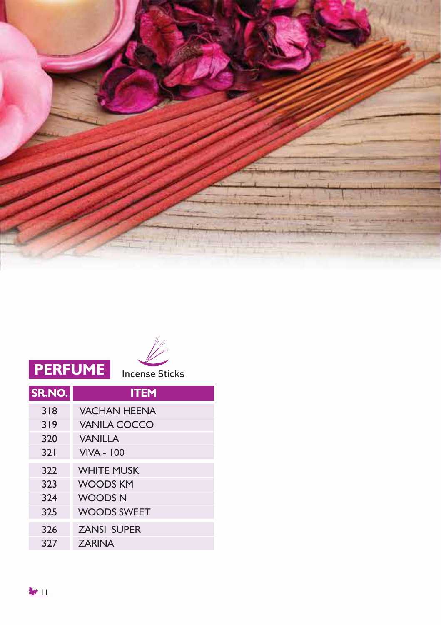



## **PERFUME** Incense Sticks

| SR.NO. | <b>ITEM</b>         |
|--------|---------------------|
| 318    | <b>VACHAN HEENA</b> |
| 319    | VANILA COCCO        |
| 320    | <b>VANILLA</b>      |
| 321    | <b>VIVA - 100</b>   |
| 322    | <b>WHITE MUSK</b>   |
| 323    | <b>WOODS KM</b>     |
| 324    | <b>WOODSN</b>       |
| 325    | <b>WOODS SWEET</b>  |
| 326    | <b>ZANSI SUPER</b>  |
| 327    | <b>ZARINA</b>       |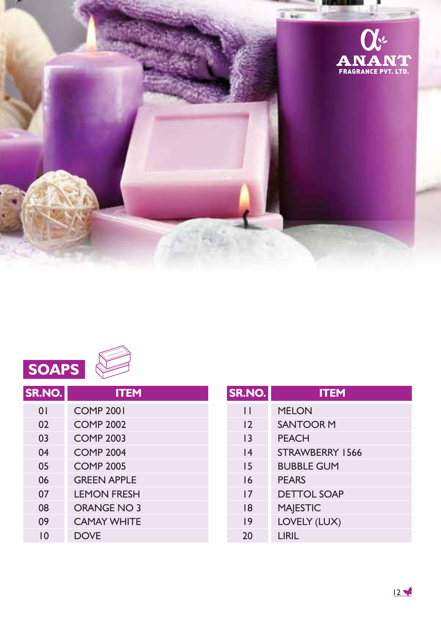



| SR.NO.   | <b>ITEM</b>        |
|----------|--------------------|
| $\Omega$ | <b>COMP 2001</b>   |
| 02       | <b>COMP 2002</b>   |
| 03       | <b>COMP 2003</b>   |
| 04       | <b>COMP 2004</b>   |
| 05       | <b>COMP 2005</b>   |
| 06       | <b>GREEN APPLE</b> |
| 07       | <b>LEMON FRESH</b> |
| 08       | ORANGE NO 3        |
| 09       | <b>CAMAY WHITE</b> |
| ۱0       | <b>DOVE</b>        |

| SR.NO.          | <b>ITEM</b>        |
|-----------------|--------------------|
| П               | <b>MELON</b>       |
| $\overline{2}$  | <b>SANTOOR M</b>   |
| $\overline{13}$ | <b>PEACH</b>       |
| 4               | STRAWBERRY 1566    |
| 15              | <b>BUBBLE GUM</b>  |
| 16              | <b>PFARS</b>       |
| 17              | <b>DETTOL SOAP</b> |
| 18              | <b>MAJESTIC</b>    |
| 19              | LOVELY (LUX)       |
| 20              | LIRIL              |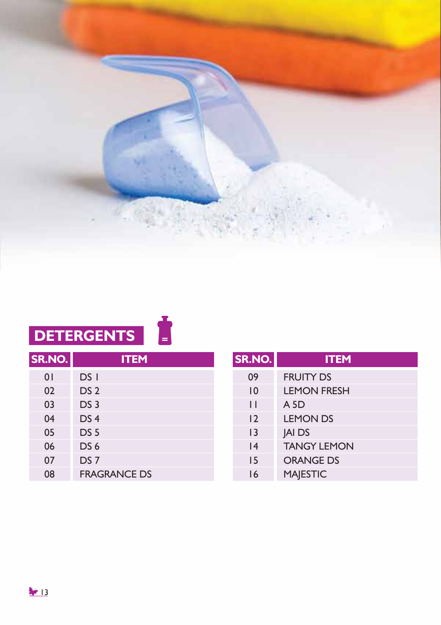

# **DETERGENTS**

| SR.NO.         | <b>ITEM</b>         |
|----------------|---------------------|
| 0 <sup>1</sup> | DS I                |
| 02             | DS <sub>2</sub>     |
| 03             | DS <sub>3</sub>     |
| 04             | DS <sub>4</sub>     |
| 05             | DS <sub>5</sub>     |
| 06             | DS <sub>6</sub>     |
| 07             | DS <sub>7</sub>     |
| 08             | <b>FRAGRANCE DS</b> |

| SR.NO.         | <b>ITEM</b>        |
|----------------|--------------------|
| 09             | <b>FRUITY DS</b>   |
| 10             | <b>LEMON FRESH</b> |
| П              | A 5D               |
| 12             | <b>LEMON DS</b>    |
| $\overline{1}$ | <b>JAI DS</b>      |
| 4              | <b>TANGY LEMON</b> |
| 15             | <b>ORANGE DS</b>   |
| 16             | <b>MAJESTIC</b>    |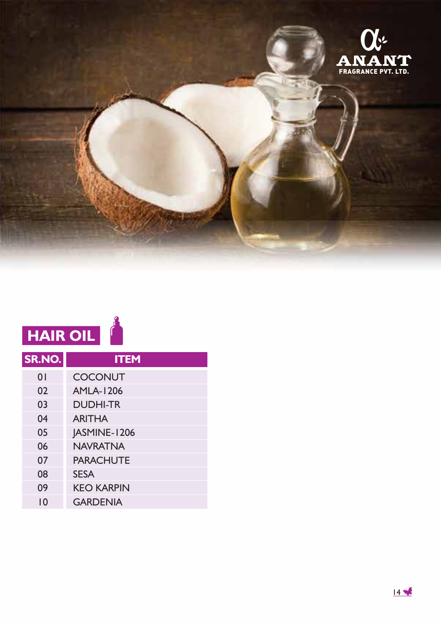

| <b>HAIR OIL</b> |                   |  |  |
|-----------------|-------------------|--|--|
| SR.NO.          | <b>ITEM</b>       |  |  |
| $\Omega$        | <b>COCONUT</b>    |  |  |
| 02              | <b>AMLA-1206</b>  |  |  |
| 03              | <b>DUDHI-TR</b>   |  |  |
| 04              | <b>ARITHA</b>     |  |  |
| 05              | JASMINE-1206      |  |  |
| 06              | <b>NAVRATNA</b>   |  |  |
| 07              | <b>PARACHUTE</b>  |  |  |
| 08              | <b>SESA</b>       |  |  |
| 09              | <b>KEO KARPIN</b> |  |  |
| 10              | <b>GARDENIA</b>   |  |  |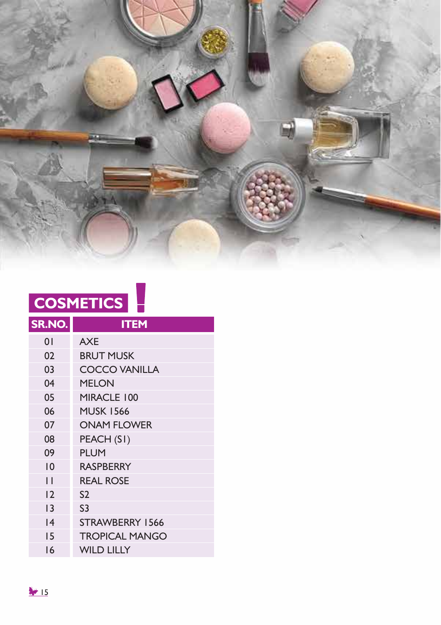

| <b>COSMETICS</b> |  |  |
|------------------|--|--|
|                  |  |  |

| SR.NO.          | <b>ITEM</b>           |
|-----------------|-----------------------|
| $\overline{0}$  | <b>AXE</b>            |
| 02              | <b>BRUT MUSK</b>      |
| 03              | <b>COCCO VANILLA</b>  |
| 04              | <b>MELON</b>          |
| 05              | MIRACLE 100           |
| 06              | <b>MUSK 1566</b>      |
| 07              | <b>ONAM FLOWER</b>    |
| 08              | PEACH (SI)            |
| 09              | <b>PLUM</b>           |
| $\overline{0}$  | <b>RASPBERRY</b>      |
| П               | <b>REAL ROSE</b>      |
| 12              | S <sub>2</sub>        |
| $\overline{13}$ | S <sub>3</sub>        |
| 4               | STRAWBERRY 1566       |
| 15              | <b>TROPICAL MANGO</b> |
| 16              | <b>WILD LILLY</b>     |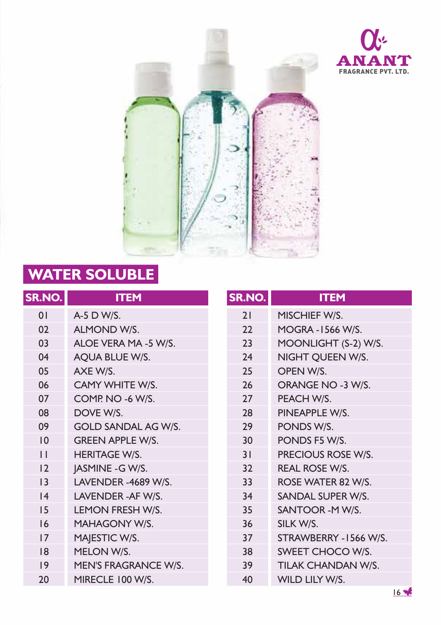



## **WATER SOLUBLE**

| SR.NO.          | <b>ITEM</b>                | SR |
|-----------------|----------------------------|----|
| 01              | A-5 D W/S.                 |    |
| 02              | <b>ALMOND W/S.</b>         |    |
| 03              | ALOE VERA MA -5 W/S.       |    |
| 04              | AQUA BLUE W/S.             |    |
| 05              | AXE W/S.                   |    |
| 06              | CAMY WHITE W/S.            |    |
| 07              | COMP. NO -6 W/S.           |    |
| 08              | DOVE W/S.                  |    |
| 09              | <b>GOLD SANDAL AG W/S.</b> |    |
| 10              | <b>GREEN APPLE W/S.</b>    |    |
| $\mathsf{L}$    | <b>HERITAGE W/S.</b>       |    |
| 12              | JASMINE - G W/S.           |    |
| $\overline{13}$ | LAVENDER -4689 W/S.        |    |
| 4               | LAVENDER-AF W/S.           |    |
| 15              | LEMON FRESH W/S.           |    |
| 16              | MAHAGONY W/S.              |    |
| 17              | MAJESTIC W/S.              |    |
| 18              | MELON W/S.                 |    |
| 19              | MEN'S FRAGRANCE W/S.       |    |
| 20              | MIRECLE 100 W/S.           |    |
|                 |                            |    |

| SR.NO. | <b>ITEM</b>              |
|--------|--------------------------|
| 21     | MISCHIEF W/S.            |
| 22     | <b>MOGRA - 1566 W/S.</b> |
| 23     | MOONLIGHT (S-2) W/S.     |
| 24     | NIGHT QUEEN W/S.         |
| 25     | OPEN W/S.                |
| 26     | ORANGE NO -3 W/S.        |
| 27     | PEACH W/S.               |
| 28     | PINEAPPLE W/S.           |
| 29     | PONDS W/S.               |
| 30     | PONDS F5 W/S.            |
| 31     | PRECIOUS ROSE W/S.       |
| 32     | <b>REAL ROSE W/S.</b>    |
| 33     | ROSE WATER 82 W/S.       |
| 34     | SANDAL SUPER W/S.        |
| 35     | SANTOOR -MW/S.           |
| 36     | SILK W/S.                |
| 37     | STRAWBERRY -1566 W/S.    |
| 38     | SWEET CHOCO W/S.         |
| 39     | TILAK CHANDAN W/S.       |
| 40     | WILD LILY W/S.           |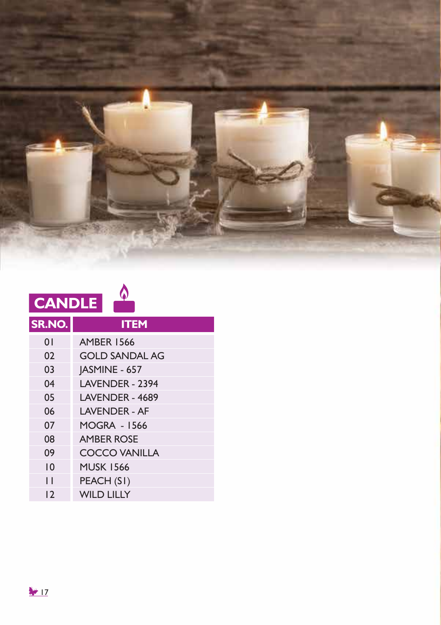

| <b>CANDLE</b> |                       |  |
|---------------|-----------------------|--|
| SR.NO.        | <b>ITEM</b>           |  |
| 01            | <b>AMBER 1566</b>     |  |
| 02            | <b>GOLD SANDAL AG</b> |  |
| 03            | JASMINE - 657         |  |
| 04            | LAVENDER - 2394       |  |
| 05            | LAVENDER - 4689       |  |
| 06            | <b>LAVENDER - AF</b>  |  |
| 07            | <b>MOGRA - 1566</b>   |  |
| 08            | <b>AMBER ROSE</b>     |  |
| 09            | <b>COCCO VANILLA</b>  |  |
| 10            | <b>MUSK 1566</b>      |  |
| П             | PEACH (SI)            |  |
| 12            | <b>WILD LILLY</b>     |  |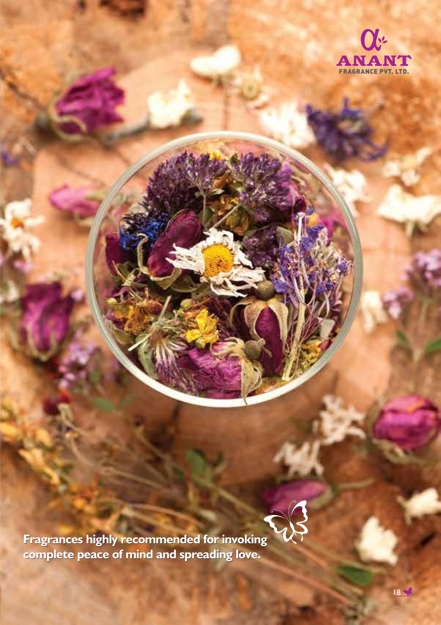



**Fragrances highly recommended for invoking complete peace of mind and spreading love. complete peace of mind and spreading love.**